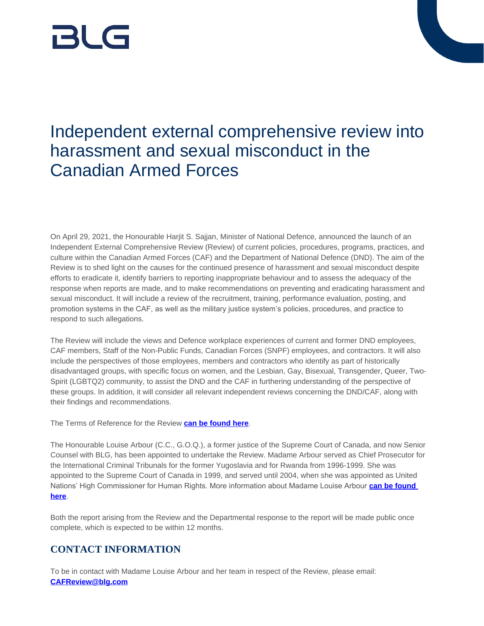# BLG

## Independent external comprehensive review into harassment and sexual misconduct in the Canadian Armed Forces

On April 29, 2021, the Honourable Harjit S. Sajjan, Minister of National Defence, announced the launch of an Independent External Comprehensive Review (Review) of current policies, procedures, programs, practices, and culture within the Canadian Armed Forces (CAF) and the Department of National Defence (DND). The aim of the Review is to shed light on the causes for the continued presence of harassment and sexual misconduct despite efforts to eradicate it, identify barriers to reporting inappropriate behaviour and to assess the adequacy of the response when reports are made, and to make recommendations on preventing and eradicating harassment and sexual misconduct. It will include a review of the recruitment, training, performance evaluation, posting, and promotion systems in the CAF, as well as the military justice system's policies, procedures, and practice to respond to such allegations.

The Review will include the views and Defence workplace experiences of current and former DND employees, CAF members, Staff of the Non-Public Funds, Canadian Forces (SNPF) employees, and contractors. It will also include the perspectives of those employees, members and contractors who identify as part of historically disadvantaged groups, with specific focus on women, and the Lesbian, Gay, Bisexual, Transgender, Queer, Two-Spirit (LGBTQ2) community, to assist the DND and the CAF in furthering understanding of the perspective of these groups. In addition, it will consider all relevant independent reviews concerning the DND/CAF, along with their findings and recommendations.

The Terms of Reference for the Review **[can be found here](https://www.canada.ca/en/department-national-defence/campaigns/external-review-terms-of-reference.html)**.

The Honourable Louise Arbour (C.C., G.O.Q.), a former justice of the Supreme Court of Canada, and now Senior Counsel with BLG, has been appointed to undertake the Review. Madame Arbour served as Chief Prosecutor for the International Criminal Tribunals for the former Yugoslavia and for Rwanda from 1996-1999. She was appointed to the Supreme Court of Canada in 1999, and served until 2004, when she was appointed as United Nations' High Commissioner for Human Rights. More information about Madame Louise Arbour **[can be found](https://prod-preview.blg.com/en/people/a/arbour-louise)  [here](https://prod-preview.blg.com/en/people/a/arbour-louise)**.

Both the report arising from the Review and the Departmental response to the report will be made public once complete, which is expected to be within 12 months.

### **CONTACT INFORMATION**

To be in contact with Madame Louise Arbour and her team in respect of the Review, please email: **[CAFReview@blg.com](mailto:CAFReview@blg.com)**